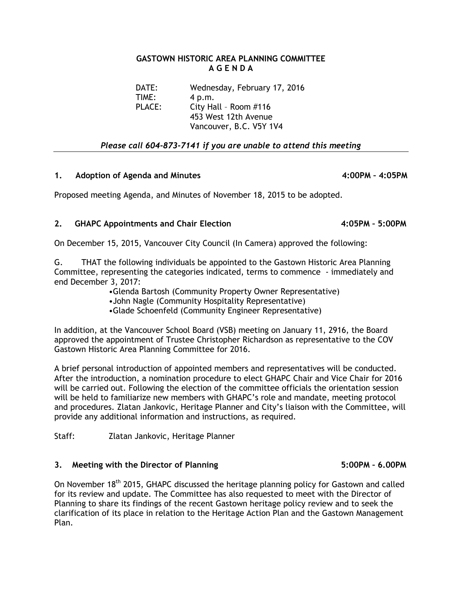## **GASTOWN HISTORIC AREA PLANNING COMMITTEE A G E N D A**

DATE: Wednesday, February 17, 2016 TIME: 4 p.m. PLACE: City Hall – Room #116 453 West 12th Avenue Vancouver, B.C. V5Y 1V4

*Please call 604-873-7141 if you are unable to attend this meeting* 

## **1. Adoption of Agenda and Minutes 4:00PM – 4:05PM**

Proposed meeting Agenda, and Minutes of November 18, 2015 to be adopted.

## **2. GHAPC Appointments and Chair Election 4:05PM – 5:00PM**

On December 15, 2015, Vancouver City Council (In Camera) approved the following:

G. THAT the following individuals be appointed to the Gastown Historic Area Planning Committee, representing the categories indicated, terms to commence - immediately and end December 3, 2017:

•Glenda Bartosh (Community Property Owner Representative)

•John Nagle (Community Hospitality Representative)

•Glade Schoenfeld (Community Engineer Representative)

In addition, at the Vancouver School Board (VSB) meeting on January 11, 2916, the Board approved the appointment of Trustee Christopher Richardson as representative to the COV Gastown Historic Area Planning Committee for 2016.

A brief personal introduction of appointed members and representatives will be conducted. After the introduction, a nomination procedure to elect GHAPC Chair and Vice Chair for 2016 will be carried out. Following the election of the committee officials the orientation session will be held to familiarize new members with GHAPC's role and mandate, meeting protocol and procedures. Zlatan Jankovic, Heritage Planner and City's liaison with the Committee, will provide any additional information and instructions, as required.

Staff: Zlatan Jankovic, Heritage Planner

## **3. Meeting with the Director of Planning 5:00PM – 6.00PM**

On November 18<sup>th</sup> 2015, GHAPC discussed the heritage planning policy for Gastown and called for its review and update. The Committee has also requested to meet with the Director of Planning to share its findings of the recent Gastown heritage policy review and to seek the clarification of its place in relation to the Heritage Action Plan and the Gastown Management Plan.